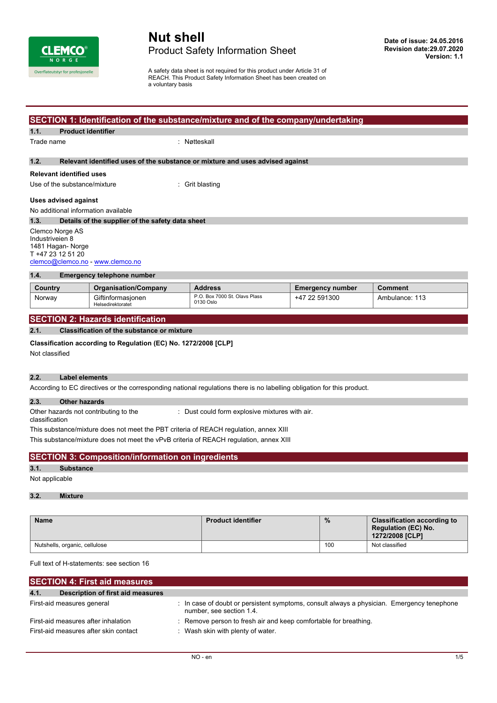

## **Nut shell** Product Safety Information Sheet

A safety data sheet is not required for this product under Article 31 of REACH. This Product Safety Information Sheet has been created on a voluntary basis

|                                                                                                           | SECTION 1: Identification of the substance/mixture and of the company/undertaking                                                                                                             |                                                                                                                                                                                                                                                                                                                                                              |                         |                                                                                     |
|-----------------------------------------------------------------------------------------------------------|-----------------------------------------------------------------------------------------------------------------------------------------------------------------------------------------------|--------------------------------------------------------------------------------------------------------------------------------------------------------------------------------------------------------------------------------------------------------------------------------------------------------------------------------------------------------------|-------------------------|-------------------------------------------------------------------------------------|
| 1.1.                                                                                                      | <b>Product identifier</b>                                                                                                                                                                     |                                                                                                                                                                                                                                                                                                                                                              |                         |                                                                                     |
| Trade name                                                                                                | : Nøtteskall                                                                                                                                                                                  |                                                                                                                                                                                                                                                                                                                                                              |                         |                                                                                     |
| 1.2.                                                                                                      |                                                                                                                                                                                               | Relevant identified uses of the substance or mixture and uses advised against                                                                                                                                                                                                                                                                                |                         |                                                                                     |
| <b>Relevant identified uses</b>                                                                           |                                                                                                                                                                                               |                                                                                                                                                                                                                                                                                                                                                              |                         |                                                                                     |
| Use of the substance/mixture                                                                              |                                                                                                                                                                                               | Grit blasting                                                                                                                                                                                                                                                                                                                                                |                         |                                                                                     |
| <b>Uses advised against</b>                                                                               |                                                                                                                                                                                               |                                                                                                                                                                                                                                                                                                                                                              |                         |                                                                                     |
| No additional information available                                                                       |                                                                                                                                                                                               |                                                                                                                                                                                                                                                                                                                                                              |                         |                                                                                     |
| 1.3.                                                                                                      | Details of the supplier of the safety data sheet                                                                                                                                              |                                                                                                                                                                                                                                                                                                                                                              |                         |                                                                                     |
| Clemco Norge AS<br>Industriveien 8<br>1481 Hagan-Norge<br>T +47 23 12 51 20                               | clemco@clemco.no - www.clemco.no                                                                                                                                                              |                                                                                                                                                                                                                                                                                                                                                              |                         |                                                                                     |
| 1.4.                                                                                                      | <b>Emergency telephone number</b>                                                                                                                                                             |                                                                                                                                                                                                                                                                                                                                                              |                         |                                                                                     |
| Country                                                                                                   | <b>Organisation/Company</b>                                                                                                                                                                   | <b>Address</b>                                                                                                                                                                                                                                                                                                                                               | <b>Emergency number</b> | Comment                                                                             |
|                                                                                                           |                                                                                                                                                                                               | P.O. Box 7000 St. Olavs Plass                                                                                                                                                                                                                                                                                                                                | +47 22 591300           | Ambulance: 113                                                                      |
| Norway                                                                                                    | Giftinformasjonen<br>Helsedirektoratet<br><b>SECTION 2: Hazards identification</b><br><b>Classification of the substance or mixture</b>                                                       | 0130 Oslo                                                                                                                                                                                                                                                                                                                                                    |                         |                                                                                     |
| <b>Other hazards</b>                                                                                      | Classification according to Regulation (EC) No. 1272/2008 [CLP]<br><b>Label elements</b><br>Other hazards not contributing to the<br><b>SECTION 3: Composition/information on ingredients</b> | According to EC directives or the corresponding national regulations there is no labelling obligation for this product.<br>: Dust could form explosive mixtures with air.<br>This substance/mixture does not meet the PBT criteria of REACH regulation, annex XIII<br>This substance/mixture does not meet the vPvB criteria of REACH regulation, annex XIII |                         |                                                                                     |
| <b>Substance</b>                                                                                          |                                                                                                                                                                                               |                                                                                                                                                                                                                                                                                                                                                              |                         |                                                                                     |
|                                                                                                           |                                                                                                                                                                                               |                                                                                                                                                                                                                                                                                                                                                              |                         |                                                                                     |
| <b>Mixture</b>                                                                                            |                                                                                                                                                                                               |                                                                                                                                                                                                                                                                                                                                                              |                         |                                                                                     |
| 2.1.<br>Not classified<br>2.2.<br>2.3.<br>classification<br>3.1.<br>Not applicable<br>3.2.<br><b>Name</b> |                                                                                                                                                                                               | <b>Product identifier</b>                                                                                                                                                                                                                                                                                                                                    | $\%$                    | <b>Classification according to</b><br><b>Regulation (EC) No.</b><br>1272/2008 [CLP] |

| <b>SECTION 4: First aid measures</b>      |                                                                                                                      |
|-------------------------------------------|----------------------------------------------------------------------------------------------------------------------|
| 4.1.<br>Description of first aid measures |                                                                                                                      |
| First-aid measures general                | In case of doubt or persistent symptoms, consult always a physician. Emergency tenephone<br>number, see section 1.4. |
| First-aid measures after inhalation       | : Remove person to fresh air and keep comfortable for breathing.                                                     |
| First-aid measures after skin contact     | Wash skin with plenty of water.                                                                                      |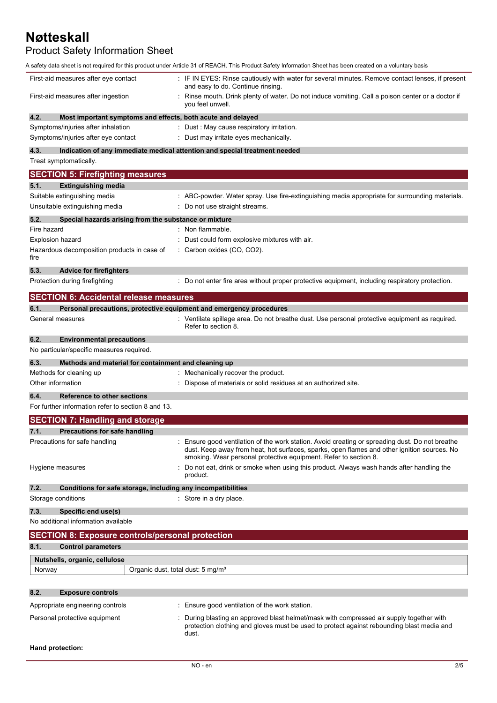## Product Safety Information Sheet

|                                                                             | A safety data sheet is not required for this product under Article 31 of REACH. This Product Safety Information Sheet has been created on a voluntary basis                                                                                                        |
|-----------------------------------------------------------------------------|--------------------------------------------------------------------------------------------------------------------------------------------------------------------------------------------------------------------------------------------------------------------|
| First-aid measures after eye contact                                        | : IF IN EYES: Rinse cautiously with water for several minutes. Remove contact lenses, if present<br>and easy to do. Continue rinsing.                                                                                                                              |
| First-aid measures after ingestion                                          | Rinse mouth. Drink plenty of water. Do not induce vomiting. Call a poison center or a doctor if<br>you feel unwell.                                                                                                                                                |
| 4.2.<br>Most important symptoms and effects, both acute and delayed         |                                                                                                                                                                                                                                                                    |
| Symptoms/injuries after inhalation                                          | Dust: May cause respiratory irritation.                                                                                                                                                                                                                            |
| Symptoms/injuries after eye contact                                         | : Dust may irritate eyes mechanically.                                                                                                                                                                                                                             |
| 4.3.                                                                        | Indication of any immediate medical attention and special treatment needed                                                                                                                                                                                         |
| Treat symptomatically.                                                      |                                                                                                                                                                                                                                                                    |
| <b>SECTION 5: Firefighting measures</b>                                     |                                                                                                                                                                                                                                                                    |
| 5.1.<br><b>Extinguishing media</b>                                          |                                                                                                                                                                                                                                                                    |
| Suitable extinguishing media                                                | : ABC-powder. Water spray. Use fire-extinguishing media appropriate for surrounding materials.                                                                                                                                                                     |
| Unsuitable extinguishing media                                              | : Do not use straight streams.                                                                                                                                                                                                                                     |
| 5.2.<br>Special hazards arising from the substance or mixture               |                                                                                                                                                                                                                                                                    |
| Fire hazard                                                                 | Non flammable.                                                                                                                                                                                                                                                     |
|                                                                             |                                                                                                                                                                                                                                                                    |
| <b>Explosion hazard</b>                                                     | Dust could form explosive mixtures with air.                                                                                                                                                                                                                       |
| Hazardous decomposition products in case of<br>fire                         | Carbon oxides (CO, CO2).                                                                                                                                                                                                                                           |
| 5.3.<br><b>Advice for firefighters</b>                                      |                                                                                                                                                                                                                                                                    |
| Protection during firefighting                                              | : Do not enter fire area without proper protective equipment, including respiratory protection.                                                                                                                                                                    |
| <b>SECTION 6: Accidental release measures</b>                               |                                                                                                                                                                                                                                                                    |
| 6.1.<br>Personal precautions, protective equipment and emergency procedures |                                                                                                                                                                                                                                                                    |
| General measures                                                            | : Ventilate spillage area. Do not breathe dust. Use personal protective equipment as required.                                                                                                                                                                     |
|                                                                             | Refer to section 8.                                                                                                                                                                                                                                                |
| 6.2.<br><b>Environmental precautions</b>                                    |                                                                                                                                                                                                                                                                    |
| No particular/specific measures required.                                   |                                                                                                                                                                                                                                                                    |
| 6.3.<br>Methods and material for containment and cleaning up                |                                                                                                                                                                                                                                                                    |
| Methods for cleaning up                                                     | : Mechanically recover the product.                                                                                                                                                                                                                                |
| Other information                                                           | Dispose of materials or solid residues at an authorized site.                                                                                                                                                                                                      |
|                                                                             |                                                                                                                                                                                                                                                                    |
| 6.4.<br><b>Reference to other sections</b>                                  |                                                                                                                                                                                                                                                                    |
| For further information refer to section 8 and 13.                          |                                                                                                                                                                                                                                                                    |
| <b>SECTION 7: Handling and storage</b>                                      |                                                                                                                                                                                                                                                                    |
| 7.1.<br><b>Precautions for safe handling</b>                                |                                                                                                                                                                                                                                                                    |
| Precautions for safe handling                                               | : Ensure good ventilation of the work station. Avoid creating or spreading dust. Do not breathe<br>dust. Keep away from heat, hot surfaces, sparks, open flames and other ignition sources. No<br>smoking. Wear personal protective equipment. Refer to section 8. |
| Hygiene measures                                                            | Do not eat, drink or smoke when using this product. Always wash hands after handling the<br>product.                                                                                                                                                               |
|                                                                             |                                                                                                                                                                                                                                                                    |
| 7.2.<br>Conditions for safe storage, including any incompatibilities        |                                                                                                                                                                                                                                                                    |
| Storage conditions                                                          | : Store in a dry place.                                                                                                                                                                                                                                            |
| 7.3.<br>Specific end use(s)                                                 |                                                                                                                                                                                                                                                                    |
| No additional information available                                         |                                                                                                                                                                                                                                                                    |
| <b>SECTION 8: Exposure controls/personal protection</b>                     |                                                                                                                                                                                                                                                                    |
| 8.1.<br><b>Control parameters</b>                                           |                                                                                                                                                                                                                                                                    |
| Nutshells, organic, cellulose                                               |                                                                                                                                                                                                                                                                    |
| Organic dust, total dust: 5 mg/m <sup>3</sup><br>Norway                     |                                                                                                                                                                                                                                                                    |
|                                                                             |                                                                                                                                                                                                                                                                    |
| 8.2.<br><b>Exposure controls</b>                                            |                                                                                                                                                                                                                                                                    |
| Appropriate engineering controls                                            | : Ensure good ventilation of the work station.                                                                                                                                                                                                                     |
| Personal protective equipment                                               | During blasting an approved blast helmet/mask with compressed air supply together with<br>protection clothing and gloves must be used to protect against rebounding blast media and<br>dust.                                                                       |
| Hand protection:                                                            |                                                                                                                                                                                                                                                                    |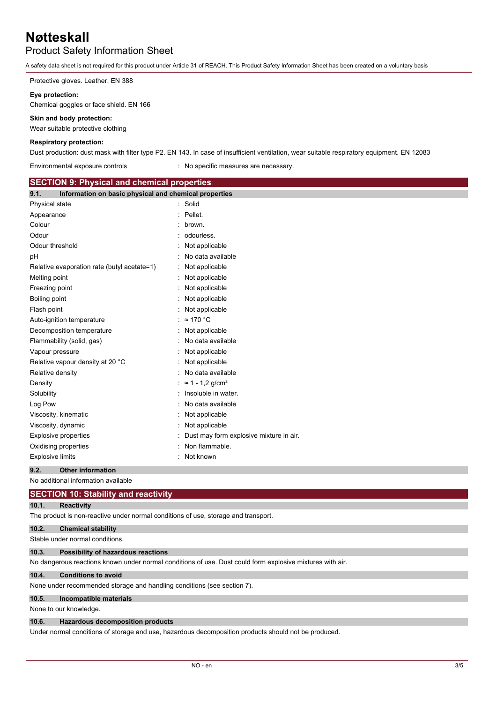### Product Safety Information Sheet

A safety data sheet is not required for this product under Article 31 of REACH. This Product Safety Information Sheet has been created on a voluntary basis

Protective gloves. Leather. EN 388

#### **Eye protection:**

Chemical goggles or face shield. EN 166

#### **Skin and body protection:**

Wear suitable protective clothing

#### **Respiratory protection:**

Dust production: dust mask with filter type P2. EN 143. In case of insufficient ventilation, wear suitable respiratory equipment. EN 12083

Environmental exposure controls : No specific measures are necessary.

| <b>SECTION 9: Physical and chemical properties</b>            |                                         |
|---------------------------------------------------------------|-----------------------------------------|
| Information on basic physical and chemical properties<br>9.1. |                                         |
| Physical state                                                | Solid<br>٠                              |
| Appearance                                                    | Pellet.                                 |
| Colour                                                        | brown.                                  |
| Odour                                                         | odourless.                              |
| Odour threshold                                               | Not applicable                          |
| рH                                                            | No data available                       |
| Relative evaporation rate (butyl acetate=1)                   | Not applicable                          |
| Melting point                                                 | Not applicable                          |
| Freezing point                                                | Not applicable                          |
| Boiling point                                                 | Not applicable                          |
| Flash point                                                   | Not applicable                          |
| Auto-ignition temperature                                     | $\approx$ 170 °C                        |
| Decomposition temperature                                     | Not applicable                          |
| Flammability (solid, gas)                                     | No data available                       |
| Vapour pressure                                               | Not applicable                          |
| Relative vapour density at 20 °C                              | Not applicable                          |
| Relative density                                              | No data available                       |
| Density                                                       | $\approx$ 1 - 1.2 g/cm <sup>3</sup>     |
| Solubility                                                    | Insoluble in water.                     |
| Log Pow                                                       | No data available                       |
| Viscosity, kinematic                                          | Not applicable                          |
| Viscosity, dynamic                                            | Not applicable                          |
| <b>Explosive properties</b>                                   | Dust may form explosive mixture in air. |
| Oxidising properties                                          | Non flammable.                          |
| <b>Explosive limits</b>                                       | Not known                               |
| 9.2.<br><b>Other information</b>                              |                                         |

No additional information available

#### **SECTION 10: Stability and reactivity**

### **10.1. Reactivity**

The product is non-reactive under normal conditions of use, storage and transport.

#### **10.2. Chemical stability**

Stable under normal conditions.

#### **10.3. Possibility of hazardous reactions**

No dangerous reactions known under normal conditions of use. Dust could form explosive mixtures with air.

#### **10.4. Conditions to avoid**

None under recommended storage and handling conditions (see section 7).

#### **10.5. Incompatible materials**

None to our knowledge.

#### **10.6. Hazardous decomposition products**

Under normal conditions of storage and use, hazardous decomposition products should not be produced.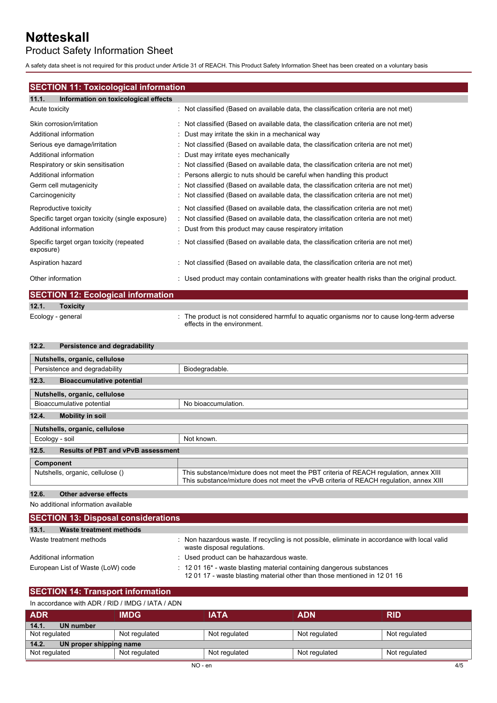## Product Safety Information Sheet

A safety data sheet is not required for this product under Article 31 of REACH. This Product Safety Information Sheet has been created on a voluntary basis

### **SECTION 11: Toxicological information**

| : Not classified (Based on available data, the classification criteria are not met)          |
|----------------------------------------------------------------------------------------------|
| : Not classified (Based on available data, the classification criteria are not met)          |
| : Dust may irritate the skin in a mechanical way                                             |
| : Not classified (Based on available data, the classification criteria are not met)          |
| : Dust may irritate eyes mechanically                                                        |
| : Not classified (Based on available data, the classification criteria are not met)          |
| : Persons allergic to nuts should be careful when handling this product                      |
| : Not classified (Based on available data, the classification criteria are not met)          |
| : Not classified (Based on available data, the classification criteria are not met)          |
| : Not classified (Based on available data, the classification criteria are not met)          |
| : Not classified (Based on available data, the classification criteria are not met)          |
| : Dust from this product may cause respiratory irritation                                    |
| : Not classified (Based on available data, the classification criteria are not met)          |
| : Not classified (Based on available data, the classification criteria are not met)          |
| Used product may contain contaminations with greater health risks than the original product. |
| <b>SECTION 12: Ecological information</b>                                                    |
|                                                                                              |

| тохняг |
|--------|
|        |

Ecology - general **interproduct is not considered harmful to aquatic organisms nor to cause long-term adverse** effects in the environment.

#### **12.2. Persistence and degradability**

| Nutshells, organic, cellulose                      |                                                                                                                                                                                 |
|----------------------------------------------------|---------------------------------------------------------------------------------------------------------------------------------------------------------------------------------|
| Persistence and degradability                      | Biodegradable.                                                                                                                                                                  |
| 12.3.<br><b>Bioaccumulative potential</b>          |                                                                                                                                                                                 |
| Nutshells, organic, cellulose                      |                                                                                                                                                                                 |
| Bioaccumulative potential                          | No bioaccumulation.                                                                                                                                                             |
| 12.4.<br><b>Mobility in soil</b>                   |                                                                                                                                                                                 |
| Nutshells, organic, cellulose                      |                                                                                                                                                                                 |
| Ecology - soil                                     | Not known.                                                                                                                                                                      |
| <b>Results of PBT and vPvB assessment</b><br>12.5. |                                                                                                                                                                                 |
| Component                                          |                                                                                                                                                                                 |
| Nutshells, organic, cellulose ()                   | This substance/mixture does not meet the PBT criteria of REACH regulation, annex XIII<br>This substance/mixture does not meet the vPvB criteria of REACH regulation, annex XIII |

#### **12.6. Other adverse effects**

No additional information available

| <b>SECTION 13: Disposal considerations</b> |                                                                                                                                                                    |
|--------------------------------------------|--------------------------------------------------------------------------------------------------------------------------------------------------------------------|
| 13.1.<br>Waste treatment methods           |                                                                                                                                                                    |
| Waste treatment methods                    | Non hazardous waste. If recycling is not possible, eliminate in accordance with local valid<br>waste disposal regulations.                                         |
| Additional information                     | : Used product can be hahazardous waste.                                                                                                                           |
| European List of Waste (LoW) code          | $\pm$ 12 01 16 <sup>*</sup> - waste blasting material containing dangerous substances<br>12 01 17 - waste blasting material other than those mentioned in 12 01 16 |

### **SECTION 14: Transport information**

#### In accordance with ADR / RID / IMDG / IATA / ADN

| <b>ADR</b>                       | <b>IMDG</b>   | <b>IATA</b>   | <b>ADN</b>    | <b>RID</b>    |
|----------------------------------|---------------|---------------|---------------|---------------|
| 14.1.<br><b>UN number</b>        |               |               |               |               |
| Not regulated                    | Not regulated | Not regulated | Not regulated | Not regulated |
| 14.2.<br>UN proper shipping name |               |               |               |               |
| Not regulated                    | Not regulated | Not regulated | Not regulated | Not regulated |